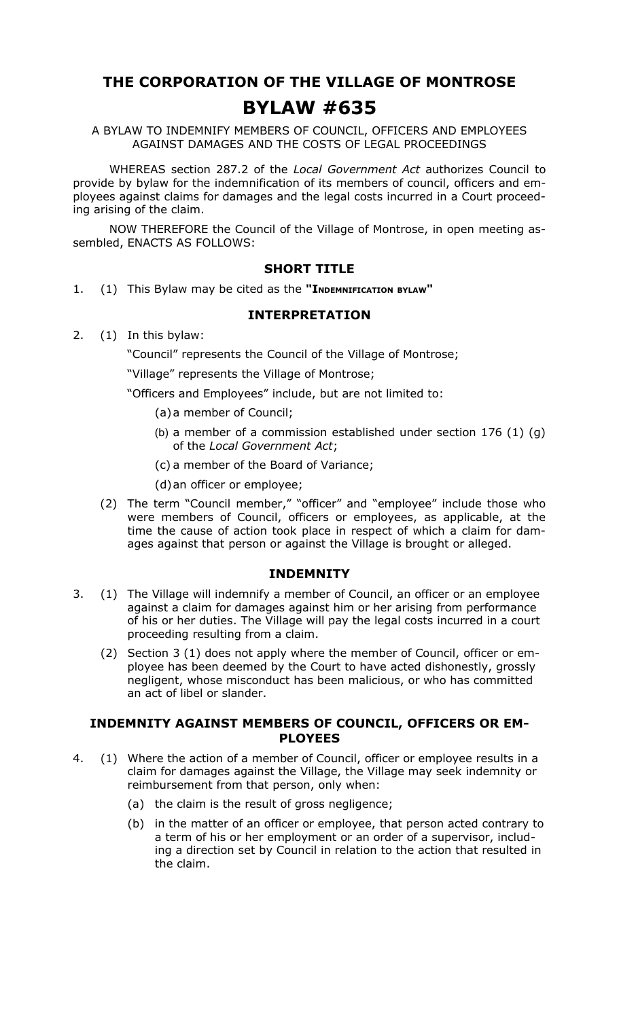# **THE CORPORATION OF THE VILLAGE OF MONTROSE BYLAW #635**

A BYLAW TO INDEMNIFY MEMBERS OF COUNCIL, OFFICERS AND EMPLOYEES AGAINST DAMAGES AND THE COSTS OF LEGAL PROCEEDINGS

WHEREAS section 287.2 of the *Local Government Act* authorizes Council to provide by bylaw for the indemnification of its members of council, officers and employees against claims for damages and the legal costs incurred in a Court proceeding arising of the claim.

NOW THEREFORE the Council of the Village of Montrose, in open meeting assembled, ENACTS AS FOLLOWS:

## **SHORT TITLE**

1. (1) This Bylaw may be cited as the **"INDEMNIFICATION BYLAW"**

## **INTERPRETATION**

2. (1) In this bylaw:

"Council" represents the Council of the Village of Montrose;

"Village" represents the Village of Montrose;

"Officers and Employees" include, but are not limited to:

- (a)a member of Council;
- (b) a member of a commission established under section 176 (1) (g) of the *Local Government Act*;
- (c) a member of the Board of Variance;
- (d)an officer or employee;
- (2) The term "Council member," "officer" and "employee" include those who were members of Council, officers or employees, as applicable, at the time the cause of action took place in respect of which a claim for damages against that person or against the Village is brought or alleged.

#### **INDEMNITY**

- 3. (1) The Village will indemnify a member of Council, an officer or an employee against a claim for damages against him or her arising from performance of his or her duties. The Village will pay the legal costs incurred in a court proceeding resulting from a claim.
	- (2) Section 3 (1) does not apply where the member of Council, officer or employee has been deemed by the Court to have acted dishonestly, grossly negligent, whose misconduct has been malicious, or who has committed an act of libel or slander.

### **INDEMNITY AGAINST MEMBERS OF COUNCIL, OFFICERS OR EM-PLOYEES**

- 4. (1) Where the action of a member of Council, officer or employee results in a claim for damages against the Village, the Village may seek indemnity or reimbursement from that person, only when:
	- (a) the claim is the result of gross negligence;
	- (b) in the matter of an officer or employee, that person acted contrary to a term of his or her employment or an order of a supervisor, including a direction set by Council in relation to the action that resulted in the claim.